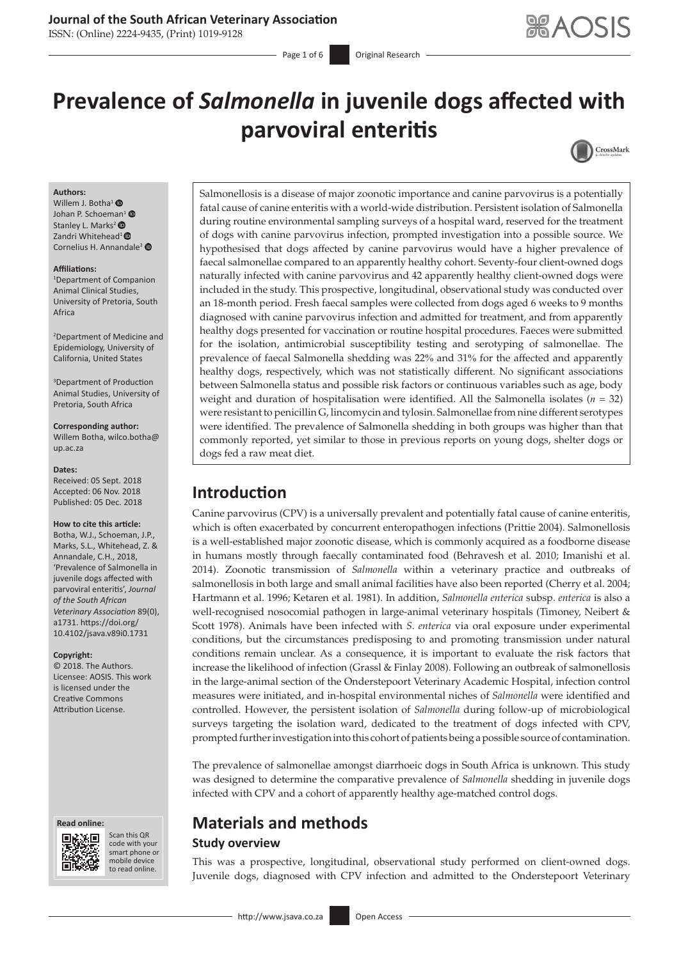## **Journal of the South African Veterinary Association**

ISSN: (Online) 2224-9435, (Print) 1019-9128

# **Prevalence of** *Salmonella* **in juvenile dogs affected with parvoviral enteritis**



#### **Authors:**

Willem J. Botha $^1$  $^1$   $\bullet$ Johan P. Schoeman<sup>1</sup> Stanley L. Marks<sup>2</sup>  $\bullet$ Zandri Whitehead<sup>1</sup> Cornelius H. Annandale<sup>[3](https://orcid.org/0000-0002-0525-8954)</sup>

#### **Affiliations:**

1 Department of Companion Animal Clinical Studies, University of Pretoria, South Africa

2 Department of Medicine and Epidemiology, University of California, United States

3 Department of Production Animal Studies, University of Pretoria, South Africa

**Corresponding author:** Willem Botha, wilco.botha@ up.ac.za

#### **Dates:**

Received: 05 Sept. 2018 Accepted: 06 Nov. 2018 Published: 05 Dec. 2018

#### **How to cite this article:**

Botha, W.J., Schoeman, J.P., Marks, S.L., Whitehead, Z. & Annandale, C.H., 2018, 'Prevalence of Salmonella in juvenile dogs affected with parvoviral enteritis', *Journal of the South African Veterinary Association* 89(0), a1731. [https://doi.org/](https://doi.org/10.4102/jsava.v89i0.1731) [10.4102/jsava.v89i0.1731](https://doi.org/10.4102/jsava.v89i0.1731)

#### **Copyright:**

© 2018. The Authors. Licensee: AOSIS. This work is licensed under the Creative Commons Attribution License.

#### **Read online: Read**



Scan this QR code with your Scan this QR<br>code with your<br>smart phone or<br>mobile device mobile device to read online. to read online.

Salmonellosis is a disease of major zoonotic importance and canine parvovirus is a potentially fatal cause of canine enteritis with a world-wide distribution. Persistent isolation of Salmonella during routine environmental sampling surveys of a hospital ward, reserved for the treatment of dogs with canine parvovirus infection, prompted investigation into a possible source. We hypothesised that dogs affected by canine parvovirus would have a higher prevalence of faecal salmonellae compared to an apparently healthy cohort. Seventy-four client-owned dogs naturally infected with canine parvovirus and 42 apparently healthy client-owned dogs were included in the study. This prospective, longitudinal, observational study was conducted over an 18-month period. Fresh faecal samples were collected from dogs aged 6 weeks to 9 months diagnosed with canine parvovirus infection and admitted for treatment, and from apparently healthy dogs presented for vaccination or routine hospital procedures. Faeces were submitted for the isolation, antimicrobial susceptibility testing and serotyping of salmonellae. The prevalence of faecal Salmonella shedding was 22% and 31% for the affected and apparently healthy dogs, respectively, which was not statistically different. No significant associations between Salmonella status and possible risk factors or continuous variables such as age, body weight and duration of hospitalisation were identified. All the Salmonella isolates (*n* = 32) were resistant to penicillin G, lincomycin and tylosin. Salmonellae from nine different serotypes were identified. The prevalence of Salmonella shedding in both groups was higher than that commonly reported, yet similar to those in previous reports on young dogs, shelter dogs or dogs fed a raw meat diet.

# **Introduction**

Canine parvovirus (CPV) is a universally prevalent and potentially fatal cause of canine enteritis, which is often exacerbated by concurrent enteropathogen infections (Prittie 2004). Salmonellosis is a well-established major zoonotic disease, which is commonly acquired as a foodborne disease in humans mostly through faecally contaminated food (Behravesh et al. 2010; Imanishi et al. 2014). Zoonotic transmission of *Salmonella* within a veterinary practice and outbreaks of salmonellosis in both large and small animal facilities have also been reported (Cherry et al. 2004; Hartmann et al. 1996; Ketaren et al. 1981). In addition, *Salmonella enterica* subsp. *enterica* is also a well-recognised nosocomial pathogen in large-animal veterinary hospitals (Timoney, Neibert & Scott 1978). Animals have been infected with *S*. *enterica* via oral exposure under experimental conditions, but the circumstances predisposing to and promoting transmission under natural conditions remain unclear. As a consequence, it is important to evaluate the risk factors that increase the likelihood of infection (Grassl & Finlay 2008). Following an outbreak of salmonellosis in the large-animal section of the Onderstepoort Veterinary Academic Hospital, infection control measures were initiated, and in-hospital environmental niches of *Salmonella* were identified and controlled. However, the persistent isolation of *Salmonella* during follow-up of microbiological surveys targeting the isolation ward, dedicated to the treatment of dogs infected with CPV, prompted further investigation into this cohort of patients being a possible source of contamination.

The prevalence of salmonellae amongst diarrhoeic dogs in South Africa is unknown. This study was designed to determine the comparative prevalence of *Salmonella* shedding in juvenile dogs infected with CPV and a cohort of apparently healthy age-matched control dogs.

# **Materials and methods Study overview**

This was a prospective, longitudinal, observational study performed on client-owned dogs. Juvenile dogs, diagnosed with CPV infection and admitted to the Onderstepoort Veterinary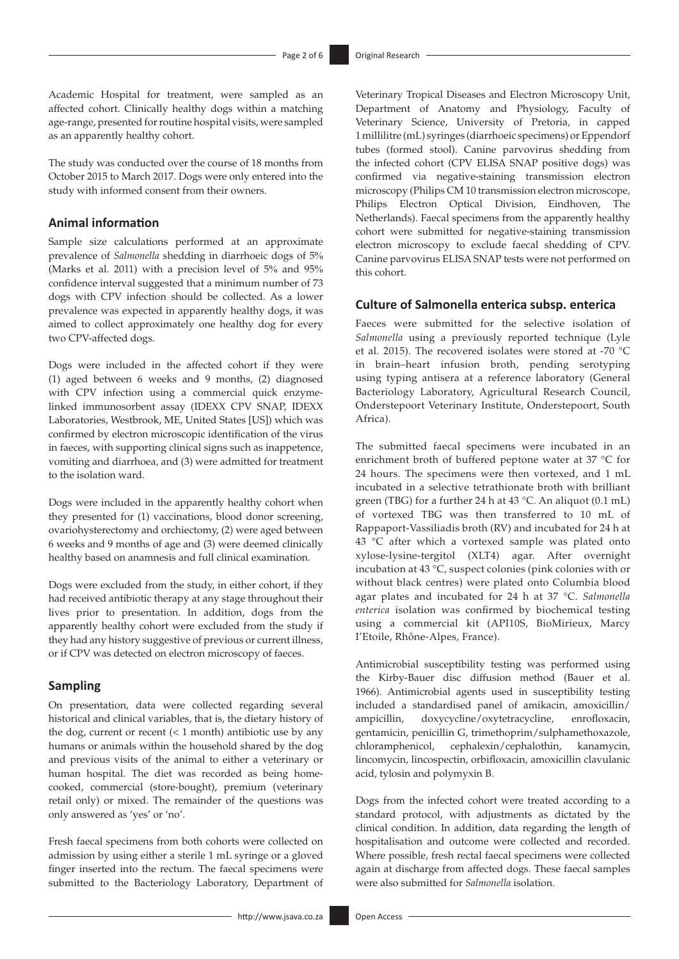Academic Hospital for treatment, were sampled as an affected cohort. Clinically healthy dogs within a matching age-range, presented for routine hospital visits, were sampled as an apparently healthy cohort.

The study was conducted over the course of 18 months from October 2015 to March 2017. Dogs were only entered into the study with informed consent from their owners.

### **Animal information**

Sample size calculations performed at an approximate prevalence of *Salmonella* shedding in diarrhoeic dogs of 5% (Marks et al. 2011) with a precision level of 5% and 95% confidence interval suggested that a minimum number of 73 dogs with CPV infection should be collected. As a lower prevalence was expected in apparently healthy dogs, it was aimed to collect approximately one healthy dog for every two CPV-affected dogs.

Dogs were included in the affected cohort if they were (1) aged between 6 weeks and 9 months, (2) diagnosed with CPV infection using a commercial quick enzymelinked immunosorbent assay (IDEXX CPV SNAP, IDEXX Laboratories, Westbrook, ME, United States [US]) which was confirmed by electron microscopic identification of the virus in faeces, with supporting clinical signs such as inappetence, vomiting and diarrhoea, and (3) were admitted for treatment to the isolation ward.

Dogs were included in the apparently healthy cohort when they presented for (1) vaccinations, blood donor screening, ovariohysterectomy and orchiectomy, (2) were aged between 6 weeks and 9 months of age and (3) were deemed clinically healthy based on anamnesis and full clinical examination.

Dogs were excluded from the study, in either cohort, if they had received antibiotic therapy at any stage throughout their lives prior to presentation. In addition, dogs from the apparently healthy cohort were excluded from the study if they had any history suggestive of previous or current illness, or if CPV was detected on electron microscopy of faeces.

### **Sampling**

On presentation, data were collected regarding several historical and clinical variables, that is, the dietary history of the dog, current or recent  $(< 1$  month) antibiotic use by any humans or animals within the household shared by the dog and previous visits of the animal to either a veterinary or human hospital. The diet was recorded as being homecooked, commercial (store-bought), premium (veterinary retail only) or mixed. The remainder of the questions was only answered as 'yes' or 'no'.

Fresh faecal specimens from both cohorts were collected on admission by using either a sterile 1 mL syringe or a gloved finger inserted into the rectum. The faecal specimens were submitted to the Bacteriology Laboratory, Department of Veterinary Tropical Diseases and Electron Microscopy Unit, Department of Anatomy and Physiology, Faculty of Veterinary Science, University of Pretoria, in capped 1 millilitre (mL) syringes (diarrhoeic specimens) or Eppendorf tubes (formed stool). Canine parvovirus shedding from the infected cohort (CPV ELISA SNAP positive dogs) was confirmed via negative-staining transmission electron microscopy (Philips CM 10 transmission electron microscope, Philips Electron Optical Division, Eindhoven, The Netherlands). Faecal specimens from the apparently healthy cohort were submitted for negative-staining transmission electron microscopy to exclude faecal shedding of CPV. Canine parvovirus ELISA SNAP tests were not performed on this cohort.

### **Culture of Salmonella enterica subsp. enterica**

Faeces were submitted for the selective isolation of *Salmonella* using a previously reported technique (Lyle et al. 2015). The recovered isolates were stored at -70 °C in brain–heart infusion broth, pending serotyping using typing antisera at a reference laboratory (General Bacteriology Laboratory, Agricultural Research Council, Onderstepoort Veterinary Institute, Onderstepoort, South Africa).

The submitted faecal specimens were incubated in an enrichment broth of buffered peptone water at 37 °C for 24 hours. The specimens were then vortexed, and 1 mL incubated in a selective tetrathionate broth with brilliant green (TBG) for a further 24 h at 43 °C. An aliquot (0.1 mL) of vortexed TBG was then transferred to 10 mL of Rappaport-Vassiliadis broth (RV) and incubated for 24 h at 43 °C after which a vortexed sample was plated onto xylose-lysine-tergitol (XLT4) agar. After overnight incubation at 43 °C, suspect colonies (pink colonies with or without black centres) were plated onto Columbia blood agar plates and incubated for 24 h at 37 °C. *Salmonella enterica* isolation was confirmed by biochemical testing using a commercial kit (API10S, BioMirieux, Marcy I'Etoile, Rhône-Alpes, France).

Antimicrobial susceptibility testing was performed using the Kirby-Bauer disc diffusion method (Bauer et al. 1966). Antimicrobial agents used in susceptibility testing included a standardised panel of amikacin, amoxicillin/ ampicillin, doxycycline/oxytetracycline, enrofloxacin, gentamicin, penicillin G, trimethoprim/sulphamethoxazole, chloramphenicol, cephalexin/cephalothin, kanamycin, lincomycin, lincospectin, orbifloxacin, amoxicillin clavulanic acid, tylosin and polymyxin B.

Dogs from the infected cohort were treated according to a standard protocol, with adjustments as dictated by the clinical condition. In addition, data regarding the length of hospitalisation and outcome were collected and recorded. Where possible, fresh rectal faecal specimens were collected again at discharge from affected dogs. These faecal samples were also submitted for *Salmonella* isolation.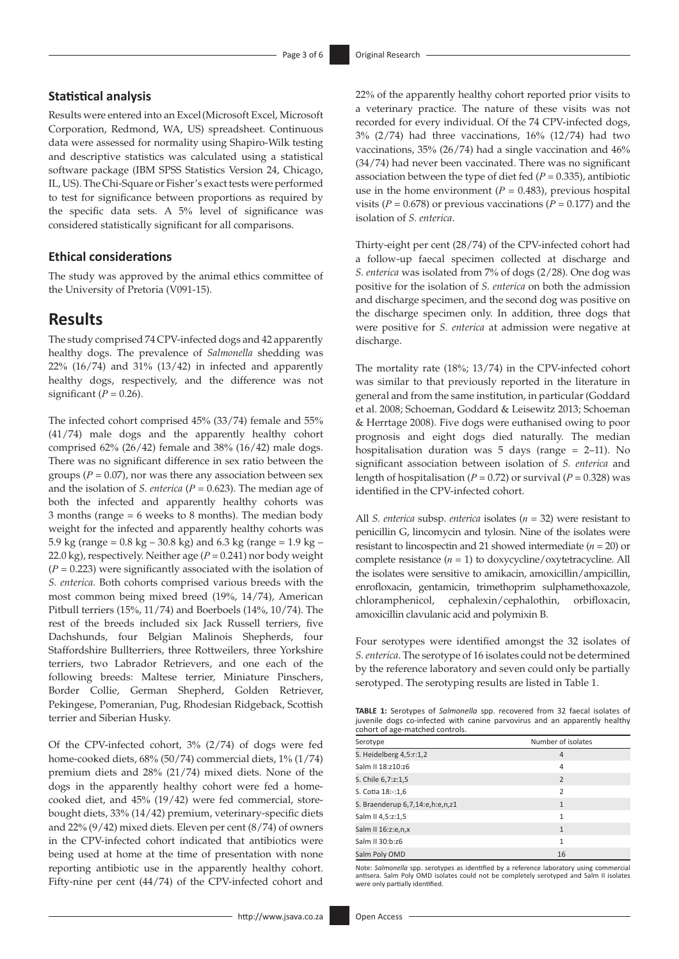### **Statistical analysis**

Results were entered into an Excel(Microsoft Excel, Microsoft Corporation, Redmond, WA, US) spreadsheet. Continuous data were assessed for normality using Shapiro-Wilk testing and descriptive statistics was calculated using a statistical software package (IBM SPSS Statistics Version 24, Chicago, IL, US). The Chi-Square or Fisher's exact tests were performed to test for significance between proportions as required by the specific data sets. A 5% level of significance was considered statistically significant for all comparisons.

### **Ethical considerations**

The study was approved by the animal ethics committee of the University of Pretoria (V091-15).

# **Results**

The study comprised 74 CPV-infected dogs and 42 apparently healthy dogs. The prevalence of *Salmonella* shedding was 22% (16/74) and 31% (13/42) in infected and apparently healthy dogs, respectively, and the difference was not significant  $(P = 0.26)$ .

The infected cohort comprised 45% (33/74) female and 55% (41/74) male dogs and the apparently healthy cohort comprised 62% (26/42) female and 38% (16/42) male dogs. There was no significant difference in sex ratio between the groups  $(P = 0.07)$ , nor was there any association between sex and the isolation of *S. enterica* (*P* = 0.623). The median age of both the infected and apparently healthy cohorts was 3 months (range = 6 weeks to 8 months). The median body weight for the infected and apparently healthy cohorts was 5.9 kg (range =  $0.8 \text{ kg} - 30.8 \text{ kg}$ ) and  $6.3 \text{ kg}$  (range =  $1.9 \text{ kg} -$ 22.0 kg), respectively. Neither age  $(P = 0.241)$  nor body weight  $(P = 0.223)$  were significantly associated with the isolation of *S. enterica*. Both cohorts comprised various breeds with the most common being mixed breed (19%, 14/74), American Pitbull terriers (15%, 11/74) and Boerboels (14%, 10/74). The rest of the breeds included six Jack Russell terriers, five Dachshunds, four Belgian Malinois Shepherds, four Staffordshire Bullterriers, three Rottweilers, three Yorkshire terriers, two Labrador Retrievers, and one each of the following breeds: Maltese terrier, Miniature Pinschers, Border Collie, German Shepherd, Golden Retriever, Pekingese, Pomeranian, Pug, Rhodesian Ridgeback, Scottish terrier and Siberian Husky.

Of the CPV-infected cohort, 3% (2/74) of dogs were fed home-cooked diets, 68% (50/74) commercial diets, 1% (1/74) premium diets and 28% (21/74) mixed diets. None of the dogs in the apparently healthy cohort were fed a homecooked diet, and 45% (19/42) were fed commercial, storebought diets, 33% (14/42) premium, veterinary-specific diets and 22% (9/42) mixed diets. Eleven per cent (8/74) of owners in the CPV-infected cohort indicated that antibiotics were being used at home at the time of presentation with none reporting antibiotic use in the apparently healthy cohort. Fifty-nine per cent (44/74) of the CPV-infected cohort and 22% of the apparently healthy cohort reported prior visits to a veterinary practice. The nature of these visits was not recorded for every individual. Of the 74 CPV-infected dogs, 3% (2/74) had three vaccinations, 16% (12/74) had two vaccinations, 35% (26/74) had a single vaccination and 46% (34/74) had never been vaccinated. There was no significant association between the type of diet fed (*P* = 0.335), antibiotic use in the home environment  $(P = 0.483)$ , previous hospital visits ( $P = 0.678$ ) or previous vaccinations ( $P = 0.177$ ) and the isolation of *S. enterica*.

Thirty-eight per cent (28/74) of the CPV-infected cohort had a follow-up faecal specimen collected at discharge and *S. enterica* was isolated from 7% of dogs (2/28). One dog was positive for the isolation of *S. enterica* on both the admission and discharge specimen, and the second dog was positive on the discharge specimen only. In addition, three dogs that were positive for *S. enterica* at admission were negative at discharge.

The mortality rate (18%; 13/74) in the CPV-infected cohort was similar to that previously reported in the literature in general and from the same institution, in particular (Goddard et al. 2008; Schoeman, Goddard & Leisewitz 2013; Schoeman & Herrtage 2008). Five dogs were euthanised owing to poor prognosis and eight dogs died naturally. The median hospitalisation duration was 5 days (range = 2–11). No significant association between isolation of *S. enterica* and length of hospitalisation ( $P = 0.72$ ) or survival ( $P = 0.328$ ) was identified in the CPV-infected cohort.

All *S. enterica* subsp. *enterica* isolates (*n* = 32) were resistant to penicillin G, lincomycin and tylosin. Nine of the isolates were resistant to lincospectin and 21 showed intermediate (*n* = 20) or complete resistance (*n* = 1) to doxycycline/oxytetracycline. All the isolates were sensitive to amikacin, amoxicillin/ampicillin, enrofloxacin, gentamicin, trimethoprim sulphamethoxazole, chloramphenicol, cephalexin/cephalothin, orbifloxacin, amoxicillin clavulanic acid and polymixin B.

Four serotypes were identified amongst the 32 isolates of *S.enterica*. The serotype of 16 isolates could not be determined by the reference laboratory and seven could only be partially serotyped. The serotyping results are listed in Table 1.

**TABLE 1:** Serotypes of *Salmonella* spp. recovered from 32 faecal isolates of juvenile dogs co-infected with canine parvovirus and an apparently healthy cohort of age-matched controls.

| Serotype                        | Number of isolates |
|---------------------------------|--------------------|
| S. Heidelberg 4,5:r:1,2         | $\overline{4}$     |
| Salm II 18:z10:z6               | 4                  |
| S. Chile 6,7:z:1,5              | 2                  |
| S. Cotia 18:-: 1,6              | 2                  |
| S. Braenderup 6,7,14:e,h:e,n,z1 | $\mathbf{1}$       |
| Salm II 4,5:z:1,5               | 1                  |
| Salm II 16:z:e,n,x              | $\mathbf{1}$       |
| Salm II 30:b:z6                 | 1                  |
| Salm Poly OMD                   | 16                 |

Note: *Salmonella* spp. serotypes as identified by a reference laboratory using commercial antisera. Salm Poly OMD isolates could not be completely serotyped and Salm II isolates were only partially identified.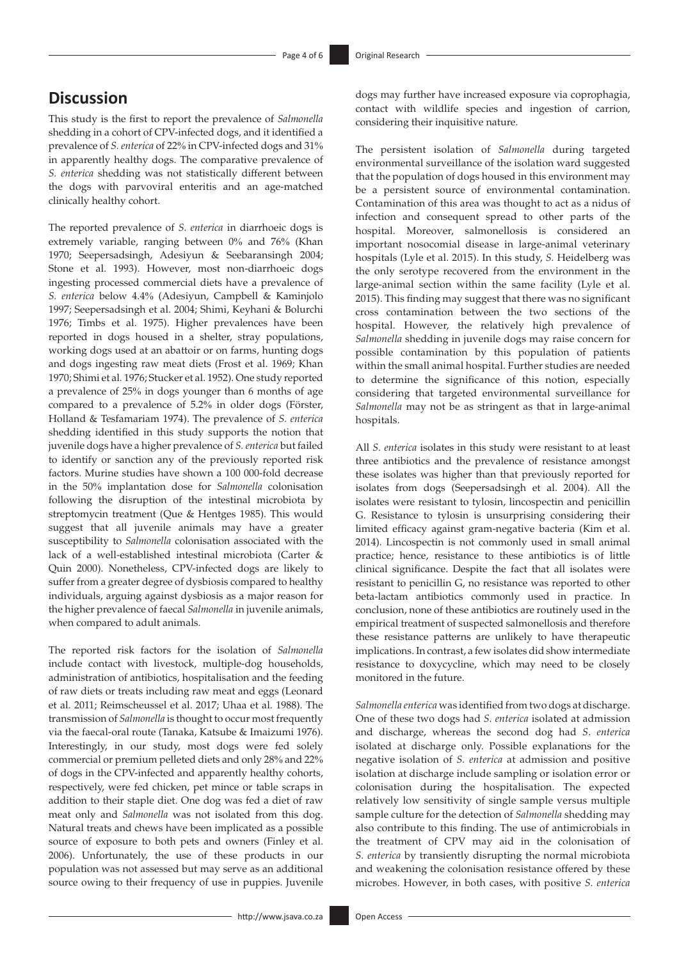# **Discussion**

This study is the first to report the prevalence of *Salmonella* shedding in a cohort of CPV-infected dogs, and it identified a prevalence of *S. enterica* of 22% in CPV-infected dogs and 31% in apparently healthy dogs. The comparative prevalence of *S. enterica* shedding was not statistically different between the dogs with parvoviral enteritis and an age-matched clinically healthy cohort.

The reported prevalence of *S. enterica* in diarrhoeic dogs is extremely variable, ranging between 0% and 76% (Khan 1970; Seepersadsingh, Adesiyun & Seebaransingh 2004; Stone et al. 1993). However, most non-diarrhoeic dogs ingesting processed commercial diets have a prevalence of *S. enterica* below 4.4% (Adesiyun, Campbell & Kaminjolo 1997; Seepersadsingh et al. 2004; Shimi, Keyhani & Bolurchi 1976; Timbs et al. 1975). Higher prevalences have been reported in dogs housed in a shelter, stray populations, working dogs used at an abattoir or on farms, hunting dogs and dogs ingesting raw meat diets (Frost et al. 1969; Khan 1970; Shimi et al*.* 1976; Stucker et al. 1952). One study reported a prevalence of 25% in dogs younger than 6 months of age compared to a prevalence of 5.2% in older dogs (Förster, Holland & Tesfamariam 1974). The prevalence of *S. enterica* shedding identified in this study supports the notion that juvenile dogs have a higher prevalence of *S. enterica* but failed to identify or sanction any of the previously reported risk factors. Murine studies have shown a 100 000-fold decrease in the 50% implantation dose for *Salmonella* colonisation following the disruption of the intestinal microbiota by streptomycin treatment (Que & Hentges 1985). This would suggest that all juvenile animals may have a greater susceptibility to *Salmonella* colonisation associated with the lack of a well-established intestinal microbiota (Carter & Quin 2000). Nonetheless, CPV-infected dogs are likely to suffer from a greater degree of dysbiosis compared to healthy individuals, arguing against dysbiosis as a major reason for the higher prevalence of faecal *Salmonella* in juvenile animals, when compared to adult animals.

The reported risk factors for the isolation of *Salmonella* include contact with livestock, multiple-dog households, administration of antibiotics, hospitalisation and the feeding of raw diets or treats including raw meat and eggs (Leonard et al. 2011; Reimscheussel et al. 2017; Uhaa et al. 1988). The transmission of *Salmonella* is thought to occur most frequently via the faecal-oral route (Tanaka, Katsube & Imaizumi 1976). Interestingly, in our study, most dogs were fed solely commercial or premium pelleted diets and only 28% and 22% of dogs in the CPV-infected and apparently healthy cohorts, respectively, were fed chicken, pet mince or table scraps in addition to their staple diet. One dog was fed a diet of raw meat only and *Salmonella* was not isolated from this dog. Natural treats and chews have been implicated as a possible source of exposure to both pets and owners (Finley et al. 2006). Unfortunately, the use of these products in our population was not assessed but may serve as an additional source owing to their frequency of use in puppies. Juvenile

dogs may further have increased exposure via coprophagia, contact with wildlife species and ingestion of carrion, considering their inquisitive nature.

The persistent isolation of *Salmonella* during targeted environmental surveillance of the isolation ward suggested that the population of dogs housed in this environment may be a persistent source of environmental contamination. Contamination of this area was thought to act as a nidus of infection and consequent spread to other parts of the hospital. Moreover, salmonellosis is considered an important nosocomial disease in large-animal veterinary hospitals (Lyle et al. 2015). In this study, *S.* Heidelberg was the only serotype recovered from the environment in the large-animal section within the same facility (Lyle et al. 2015). This finding may suggest that there was no significant cross contamination between the two sections of the hospital. However, the relatively high prevalence of *Salmonella* shedding in juvenile dogs may raise concern for possible contamination by this population of patients within the small animal hospital. Further studies are needed to determine the significance of this notion, especially considering that targeted environmental surveillance for *Salmonella* may not be as stringent as that in large-animal hospitals.

All *S. enterica* isolates in this study were resistant to at least three antibiotics and the prevalence of resistance amongst these isolates was higher than that previously reported for isolates from dogs (Seepersadsingh et al. 2004). All the isolates were resistant to tylosin, lincospectin and penicillin G. Resistance to tylosin is unsurprising considering their limited efficacy against gram-negative bacteria (Kim et al. 2014). Lincospectin is not commonly used in small animal practice; hence, resistance to these antibiotics is of little clinical significance. Despite the fact that all isolates were resistant to penicillin G, no resistance was reported to other beta-lactam antibiotics commonly used in practice. In conclusion, none of these antibiotics are routinely used in the empirical treatment of suspected salmonellosis and therefore these resistance patterns are unlikely to have therapeutic implications. In contrast, a few isolates did show intermediate resistance to doxycycline, which may need to be closely monitored in the future.

*Salmonella enterica* was identified from two dogs at discharge. One of these two dogs had *S. enterica* isolated at admission and discharge, whereas the second dog had *S*. *enterica* isolated at discharge only. Possible explanations for the negative isolation of *S. enterica* at admission and positive isolation at discharge include sampling or isolation error or colonisation during the hospitalisation. The expected relatively low sensitivity of single sample versus multiple sample culture for the detection of *Salmonella* shedding may also contribute to this finding. The use of antimicrobials in the treatment of CPV may aid in the colonisation of *S. enterica* by transiently disrupting the normal microbiota and weakening the colonisation resistance offered by these microbes. However, in both cases, with positive *S. enterica*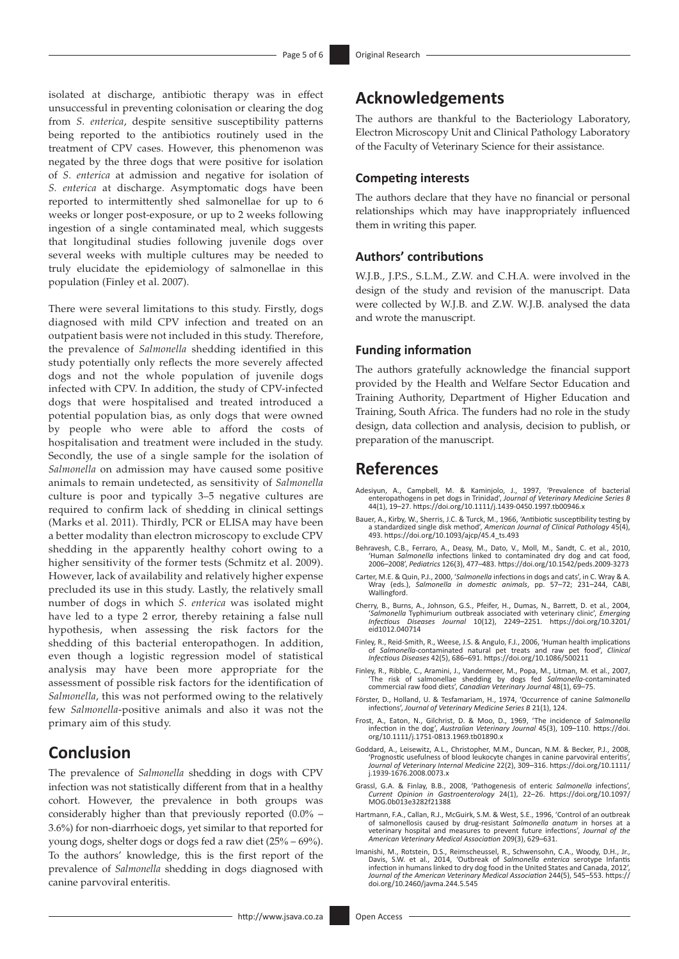isolated at discharge, antibiotic therapy was in effect unsuccessful in preventing colonisation or clearing the dog from *S. enterica*, despite sensitive susceptibility patterns being reported to the antibiotics routinely used in the treatment of CPV cases. However, this phenomenon was negated by the three dogs that were positive for isolation of *S. enterica* at admission and negative for isolation of *S. enterica* at discharge. Asymptomatic dogs have been reported to intermittently shed salmonellae for up to 6 weeks or longer post-exposure, or up to 2 weeks following ingestion of a single contaminated meal, which suggests that longitudinal studies following juvenile dogs over several weeks with multiple cultures may be needed to truly elucidate the epidemiology of salmonellae in this population (Finley et al. 2007).

There were several limitations to this study. Firstly, dogs diagnosed with mild CPV infection and treated on an outpatient basis were not included in this study. Therefore, the prevalence of *Salmonella* shedding identified in this study potentially only reflects the more severely affected dogs and not the whole population of juvenile dogs infected with CPV. In addition, the study of CPV-infected dogs that were hospitalised and treated introduced a potential population bias, as only dogs that were owned by people who were able to afford the costs of hospitalisation and treatment were included in the study. Secondly, the use of a single sample for the isolation of *Salmonella* on admission may have caused some positive animals to remain undetected, as sensitivity of *Salmonella* culture is poor and typically 3–5 negative cultures are required to confirm lack of shedding in clinical settings (Marks et al. 2011). Thirdly, PCR or ELISA may have been a better modality than electron microscopy to exclude CPV shedding in the apparently healthy cohort owing to a higher sensitivity of the former tests (Schmitz et al. 2009). However, lack of availability and relatively higher expense precluded its use in this study. Lastly, the relatively small number of dogs in which *S. enterica* was isolated might have led to a type 2 error, thereby retaining a false null hypothesis, when assessing the risk factors for the shedding of this bacterial enteropathogen. In addition, even though a logistic regression model of statistical analysis may have been more appropriate for the assessment of possible risk factors for the identification of *Salmonella*, this was not performed owing to the relatively few *Salmonella*-positive animals and also it was not the primary aim of this study.

# **Conclusion**

The prevalence of *Salmonella* shedding in dogs with CPV infection was not statistically different from that in a healthy cohort. However, the prevalence in both groups was considerably higher than that previously reported (0.0% – 3.6%) for non-diarrhoeic dogs, yet similar to that reported for young dogs, shelter dogs or dogs fed a raw diet (25% – 69%). To the authors' knowledge, this is the first report of the prevalence of *Salmonella* shedding in dogs diagnosed with canine parvoviral enteritis.

# **Acknowledgements**

The authors are thankful to the Bacteriology Laboratory, Electron Microscopy Unit and Clinical Pathology Laboratory of the Faculty of Veterinary Science for their assistance.

#### **Competing interests**

The authors declare that they have no financial or personal relationships which may have inappropriately influenced them in writing this paper.

### **Authors' contributions**

W.J.B., J.P.S., S.L.M., Z.W. and C.H.A. were involved in the design of the study and revision of the manuscript. Data were collected by W.J.B. and Z.W. W.J.B. analysed the data and wrote the manuscript.

#### **Funding information**

The authors gratefully acknowledge the financial support provided by the Health and Welfare Sector Education and Training Authority, Department of Higher Education and Training, South Africa. The funders had no role in the study design, data collection and analysis, decision to publish, or preparation of the manuscript.

# **References**

- Adesiyun, A., Campbell, M. & Kaminjolo, J., 1997, 'Prevalence of bacterial<br>enteropathogens in pet dogs in Trinidad', Journal of Veterinary Medicine Series B<br>44(1), 19–27.<https://doi.org/10.1111/j.1439-0450.1997.tb00946.x>
- Bauer, A., Kirby, W., Sherris, J.C. & Turck, M., 1966, 'Antibiotic susceptibility testing by a standardized single disk method', *American Journal of Clinical Pathology* 45(4), 493. [https://doi.org/10.1093/ajcp/45.4\\_ts.493](https://doi.org/10.1093/ajcp/45.4_ts.493)
- Behravesh, C.B., Ferraro, A., Deasy, M., Dato, V., Moll, M., Sandt, C. et al*.*, 2010, 'Human *Salmonella* infections linked to contaminated dry dog and cat food, 2006–2008', *Pediatrics* 126(3), 477–483. <https://doi.org/10.1542/peds.2009-3273>
- Carter, M.E. & Quin, P.J., 2000, '*Salmonella* infections in dogs and cats', in C. Wray & A. Wray (eds.), *Salmonella in domestic animals*, pp. 57–72; 231–244, CABI, Wallingford.
- Cherry, B., Burns, A., Johnson, G.S., Pfeifer, H., Dumas, N., Barrett, D. et al., 2004, 'Salmonella Typhimurium outbreak associated with veterinary clinic', Emerging Infectious Diseases Journal 10(12), 2249-2251. https://d [eid1012.040714](https://doi.org/10.3201/eid1012.040714)
- Finley, R., Reid-Smith, R., Weese, J.S. & Angulo, F.J., 2006, 'Human health implications of *Salmonella*-contaminated natural pet treats and raw pet food', *Clinical Infectious Diseases* 42(5), 686–691.<https://doi.org/10.1086/500211>
- Finley, R., Ribble, C., Aramini, J., Vandermeer, M., Popa, M., Litman, M. et al., 2007,<br>The risk of salmonellae shedding by dogs fed Salmonella-contaminated<br>commercial raw food diets', Canadian Veterinary Journal 48(1), 69
- Förster, D., Holland, U. & Tesfamariam, H., 1974, 'Occurrence of canine *Salmonella* infections', *Journal of Veterinary Medicine Series B* 21(1), 124.
- Frost, A., Eaton, N., Gilchrist, D. & Moo, D., 1969, 'The incidence of *Salmonella* infection in the dog', *Australian Veterinary Journal* 45(3), 109–110. [https://doi.](https://doi.org/10.1111/j.1751-0813.1969.tb01890.x) [org/10.1111/j.1751-0813.1969.tb01890.x](https://doi.org/10.1111/j.1751-0813.1969.tb01890.x)
- Goddard, A., Leisewitz, A.L., Christopher, M.M., Duncan, N.M. & Becker, P.J., 2008,<br>Prognostic usefulness of blood leukocyte changes in canine parvoviral enteritis',<br>//Journal of Veterinary Internal Medicine 22(2), 309–316 [j.1939-1676.2008.0073.x](https://doi.org/10.1111/j.1939-1676.2008.0073.x)
- Grassl, G.A. & Finlay, B.B., 2008, 'Pathogenesis of enteric *Salmonella* infections', *Current Opinion in Gastroenterology* 24(1), 22–26. [https://doi.org/10.1097/](https://doi.org/10.1097/MOG.0b013e3282f21388) [MOG.0b013e3282f21388](https://doi.org/10.1097/MOG.0b013e3282f21388)
- Hartmann, F.A., Callan, R.J., McGuirk, S.M. & West, S.E., 1996, 'Control of an outbreak of salmonellosis caused by drug-resistant *Salmonella anatum* in horses at a veterinary hospital and measures to prevent future infections', *Journal of the American Veterinary Medical Association* 209(3), 629–631.
- Imanishi, M., Rotstein, D.S., Reimscheussel, R., Schwensohn, C.A., Woody, D.H., Jr., Davis, S.W. et al*.*, 2014, 'Outbreak of *Salmonella enterica* serotype Infantis infection in humans linked to dry dog food in the United States and Canada, 2012', *Journal of the American Veterinary Medical Association* 244(5), 545–553. [https://](https://doi.org/10.2460/javma.244.5.545) [doi.org/10.2460/javma.244.5.545](https://doi.org/10.2460/javma.244.5.545)